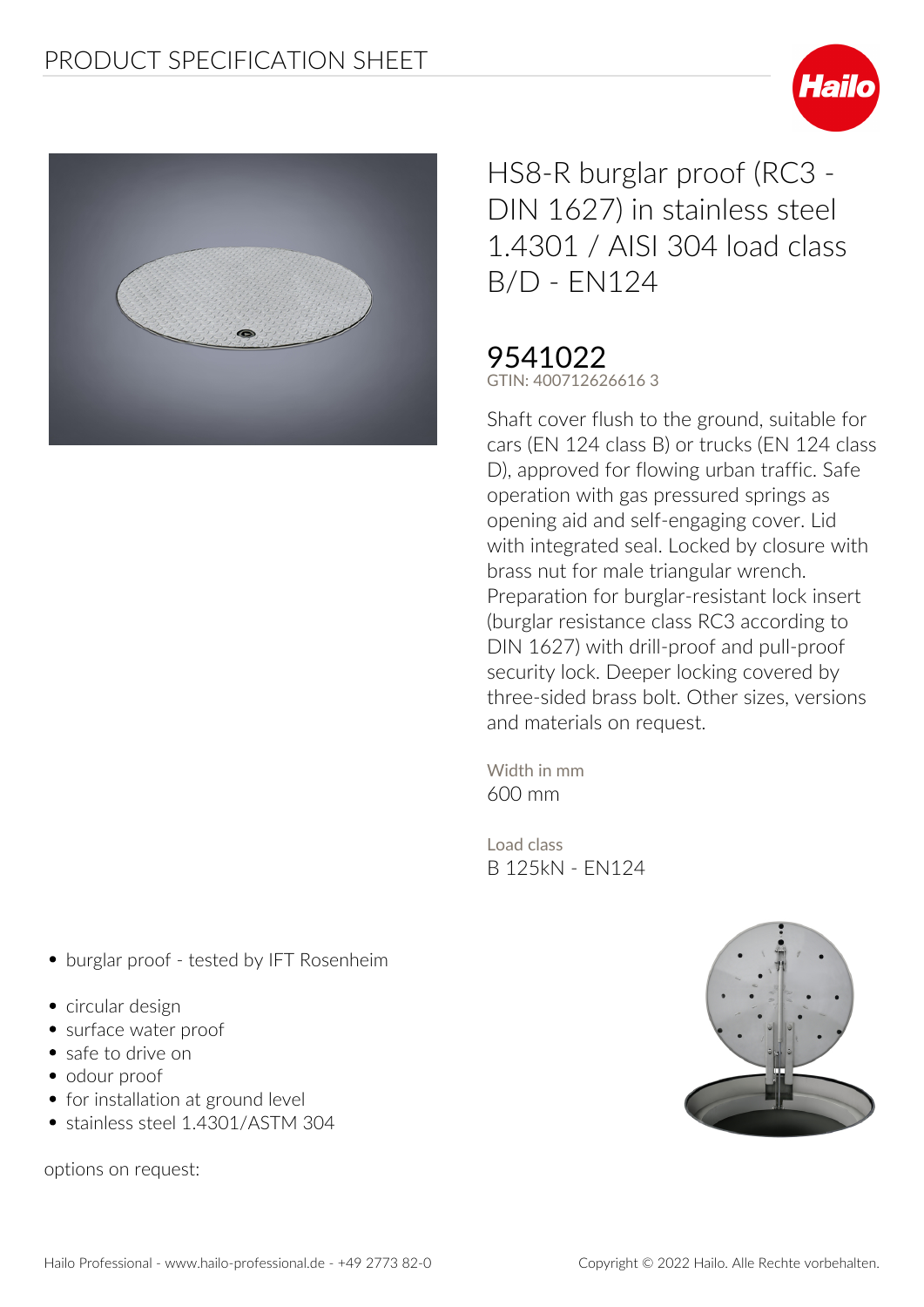



HS8-R burglar proof (RC3 - DIN 1627) in stainless steel 1.4301 / AISI 304 load class B/D - EN124

## 9541022

**GTIN: 400712626616 3**

**Shaft cover flush to the ground, suitable for cars (EN 124 class B) or trucks (EN 124 class D), approved for flowing urban traffic. Safe operation with gas pressured springs as opening aid and self-engaging cover. Lid with integrated seal. Locked by closure with brass nut for male triangular wrench. Preparation for burglar-resistant lock insert (burglar resistance class RC3 according to DIN 1627) with drill-proof and pull-proof security lock. Deeper locking covered by three-sided brass bolt. Other sizes, versions and materials on request.**

**Width in mm** 600 mm

**Load class** B 125kN - EN124

- **burglar proof tested by IFT Rosenheim**
- circular design
- surface water proof
- safe to drive on
- odour proof
- for installation at ground level
- stainless steel 1.4301/ASTM 304

options on request: